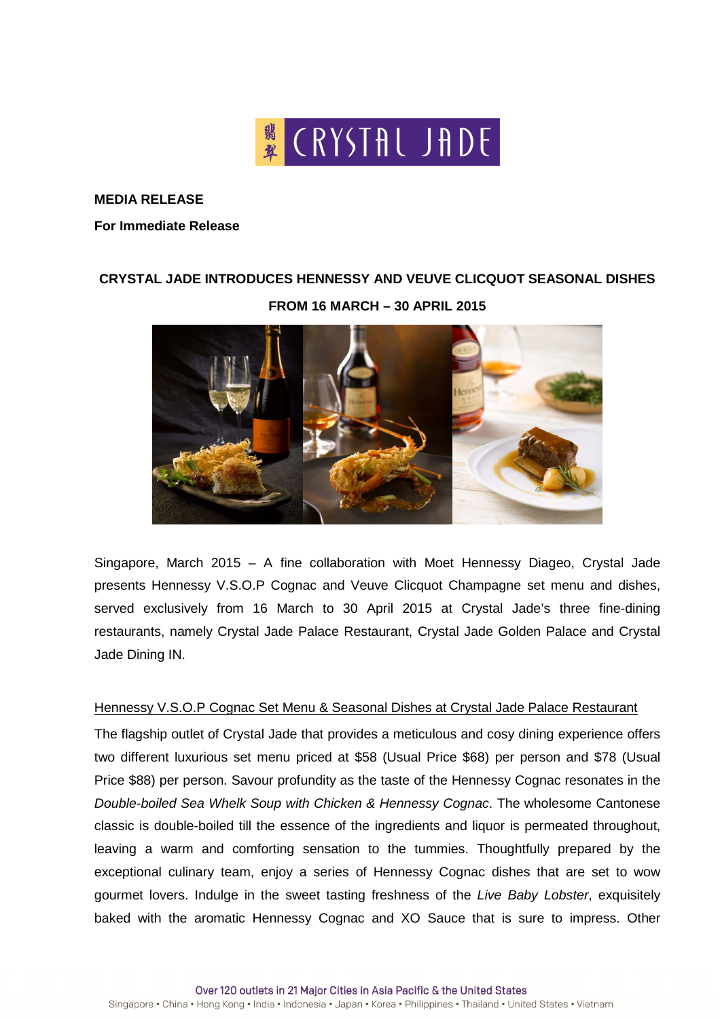

**MEDIA RELEASE** 

#### **For Immediate Release**

# **CRYSTAL JADE INTRODUCES HENNESSY AND VEUVE CLICQUOT SEASONAL DISHES FROM 16 MARCH – 30 APRIL 2015**



Singapore, March 2015 – A fine collaboration with Moet Hennessy Diageo, Crystal Jade presents Hennessy V.S.O.P Cognac and Veuve Clicquot Champagne set menu and dishes, served exclusively from 16 March to 30 April 2015 at Crystal Jade's three fine-dining restaurants, namely Crystal Jade Palace Restaurant, Crystal Jade Golden Palace and Crystal Jade Dining IN.

#### Hennessy V.S.O.P Cognac Set Menu & Seasonal Dishes at Crystal Jade Palace Restaurant

The flagship outlet of Crystal Jade that provides a meticulous and cosy dining experience offers two different luxurious set menu priced at \$58 (Usual Price \$68) per person and \$78 (Usual Price \$88) per person. Savour profundity as the taste of the Hennessy Cognac resonates in the Double-boiled Sea Whelk Soup with Chicken & Hennessy Cognac. The wholesome Cantonese classic is double-boiled till the essence of the ingredients and liquor is permeated throughout, leaving a warm and comforting sensation to the tummies. Thoughtfully prepared by the exceptional culinary team, enjoy a series of Hennessy Cognac dishes that are set to wow gourmet lovers. Indulge in the sweet tasting freshness of the Live Baby Lobster, exquisitely baked with the aromatic Hennessy Cognac and XO Sauce that is sure to impress. Other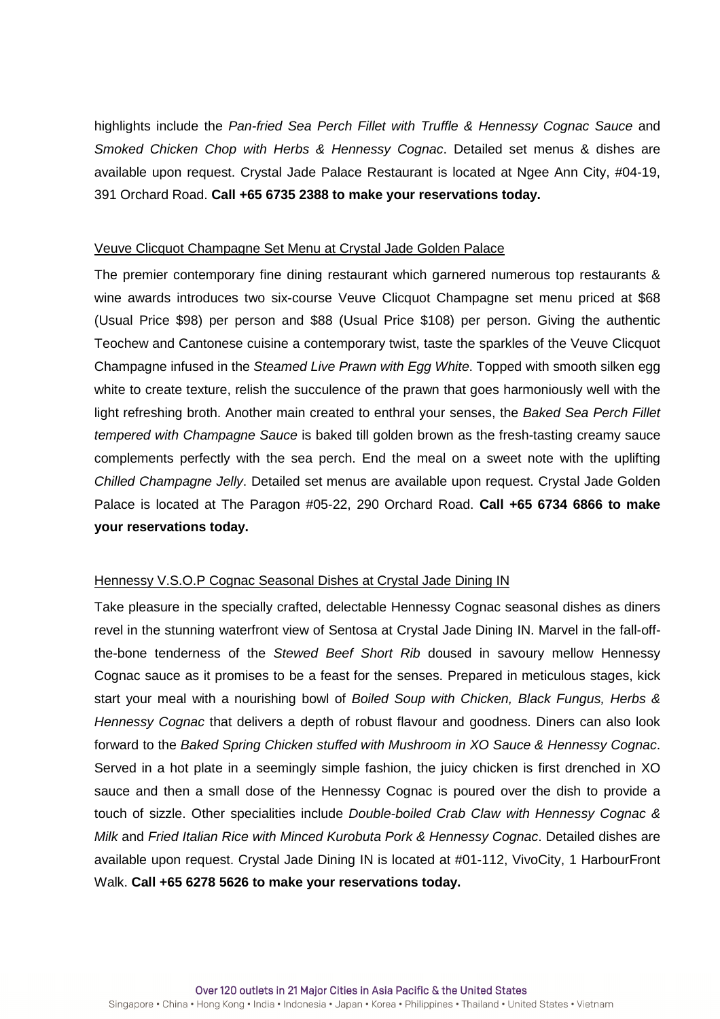highlights include the Pan-fried Sea Perch Fillet with Truffle & Hennessy Cognac Sauce and Smoked Chicken Chop with Herbs & Hennessy Cognac. Detailed set menus & dishes are available upon request. Crystal Jade Palace Restaurant is located at Ngee Ann City, #04-19, 391 Orchard Road. **Call +65 6735 2388 to make your reservations today.**

### Veuve Clicquot Champagne Set Menu at Crystal Jade Golden Palace

The premier contemporary fine dining restaurant which garnered numerous top restaurants & wine awards introduces two six-course Veuve Clicquot Champagne set menu priced at \$68 (Usual Price \$98) per person and \$88 (Usual Price \$108) per person. Giving the authentic Teochew and Cantonese cuisine a contemporary twist, taste the sparkles of the Veuve Clicquot Champagne infused in the Steamed Live Prawn with Egg White. Topped with smooth silken egg white to create texture, relish the succulence of the prawn that goes harmoniously well with the light refreshing broth. Another main created to enthral your senses, the Baked Sea Perch Fillet tempered with Champagne Sauce is baked till golden brown as the fresh-tasting creamy sauce complements perfectly with the sea perch. End the meal on a sweet note with the uplifting Chilled Champagne Jelly. Detailed set menus are available upon request. Crystal Jade Golden Palace is located at The Paragon #05-22, 290 Orchard Road. **Call +65 6734 6866 to make your reservations today.** 

#### Hennessy V.S.O.P Cognac Seasonal Dishes at Crystal Jade Dining IN

Take pleasure in the specially crafted, delectable Hennessy Cognac seasonal dishes as diners revel in the stunning waterfront view of Sentosa at Crystal Jade Dining IN. Marvel in the fall-offthe-bone tenderness of the Stewed Beef Short Rib doused in savoury mellow Hennessy Cognac sauce as it promises to be a feast for the senses. Prepared in meticulous stages, kick start your meal with a nourishing bowl of Boiled Soup with Chicken, Black Fungus, Herbs & Hennessy Cognac that delivers a depth of robust flavour and goodness. Diners can also look forward to the Baked Spring Chicken stuffed with Mushroom in XO Sauce & Hennessy Cognac. Served in a hot plate in a seemingly simple fashion, the juicy chicken is first drenched in XO sauce and then a small dose of the Hennessy Cognac is poured over the dish to provide a touch of sizzle. Other specialities include Double-boiled Crab Claw with Hennessy Cognac & Milk and Fried Italian Rice with Minced Kurobuta Pork & Hennessy Cognac. Detailed dishes are available upon request. Crystal Jade Dining IN is located at #01-112, VivoCity, 1 HarbourFront Walk. **Call +65 6278 5626 to make your reservations today.**